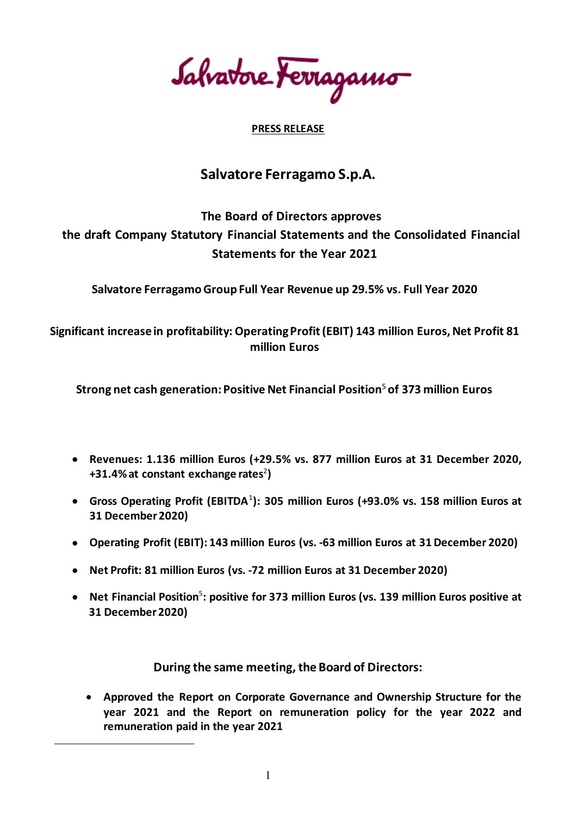Salvatore terragamo

# **PRESS RELEASE**

# **Salvatore Ferragamo S.p.A.**

# **The Board of Directors approves the draft Company Statutory Financial Statements and the Consolidated Financial Statements for the Year 2021**

**Salvatore Ferragamo Group Full Year Revenue up 29.5% vs. Full Year 2020**

**Significant increase in profitability: Operating Profit (EBIT) 143 million Euros, Net Profit 81 million Euros**

**Strong net cash generation:Positive Net Financial Position**<sup>5</sup>**of 373 million Euros**

- **Revenues: 1.136 million Euros (+29.5% vs. 877 million Euros at 31 December 2020,**  +31.4% at constant exchange rates<sup>2</sup>)
- **Gross Operating Profit (EBITDA**[1](#page-0-0) **): 305 million Euros (+93.0% vs. 158 million Euros at 31 December 2020)**
- **Operating Profit (EBIT): 143 million Euros (vs. -63 million Euros at 31 December 2020)**
- **Net Profit: 81 million Euros (vs. -72 million Euros at 31 December 2020)**
- **Net Financial Position**<sup>5</sup> **: positive for 373 million Euros (vs. 139 million Euros positive at 31 December 2020)**

**During the same meeting, the Board of Directors:**

• **Approved the Report on Corporate Governance and Ownership Structure for the year 2021 and the Report on remuneration policy for the year 2022 and remuneration paid in the year 2021**

<span id="page-0-0"></span> $\overline{a}$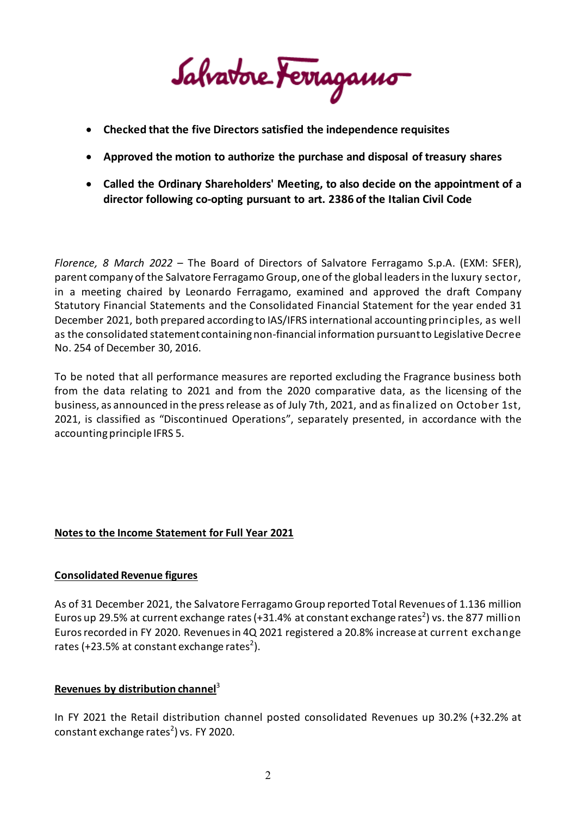Salvatore Ferragamo

- **Checked that the five Directors satisfied the independence requisites**
- **Approved the motion to authorize the purchase and disposal of treasury shares**
- **Called the Ordinary Shareholders' Meeting, to also decide on the appointment of a director following co-opting pursuant to art. 2386 of the Italian Civil Code**

*Florence, 8 March 2022* – The Board of Directors of Salvatore Ferragamo S.p.A. (EXM: SFER), parent company of the Salvatore Ferragamo Group, one of the global leaders in the luxury sector, in a meeting chaired by Leonardo Ferragamo, examined and approved the draft Company Statutory Financial Statements and the Consolidated Financial Statement for the year ended 31 December 2021, both prepared according to IAS/IFRS international accounting principles, as well as the consolidated statement containingnon-financial information pursuant to Legislative Decree No. 254 of December 30, 2016.

To be noted that all performance measures are reported excluding the Fragrance business both from the data relating to 2021 and from the 2020 comparative data, as the licensing of the business, as announced in the pressrelease as of July 7th, 2021, and as finalized on October 1st, 2021, is classified as "Discontinued Operations", separately presented, in accordance with the accounting principle IFRS 5.

# **Notes to the Income Statement for Full Year 2021**

# **Consolidated Revenue figures**

As of 31 December 2021, the Salvatore Ferragamo Group reported Total Revenues of 1.136 million Euros up 29.5% at current exchange rates (+31.4% at constant exchange rates<sup>2</sup>) vs. the 877 million Euros recorded in FY 2020. Revenuesin 4Q 2021 registered a 20.8% increase at current exchange rates (+23.5% at constant exchange rates<sup>2</sup>).

# **Revenues by distribution channel**<sup>3</sup>

In FY 2021 the Retail distribution channel posted consolidated Revenues up 30.2% (+32.2% at constant exchange rates<sup>2</sup>) vs. FY 2020.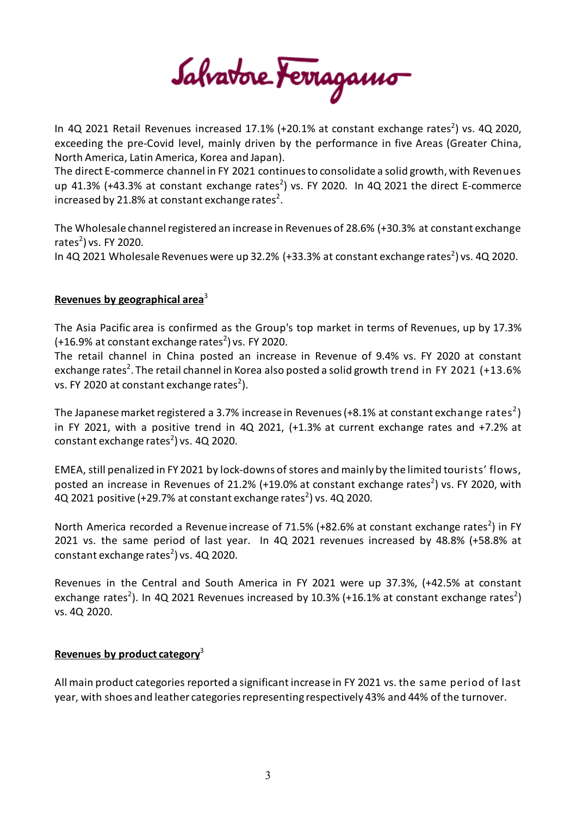Salvatore Ferragamo

In 4Q 2021 Retail Revenues increased 17.1% (+20.1% at constant exchange rates<sup>2</sup>) vs. 4Q 2020, exceeding the pre-Covid level, mainly driven by the performance in five Areas (Greater China, North America, Latin America, Korea and Japan).

The direct E-commerce channel in FY 2021 continues to consolidate a solid growth, with Revenues up 41.3% (+43.3% at constant exchange rates<sup>2</sup>) vs. FY 2020. In 4Q 2021 the direct E-commerce increased by 21.8% at constant exchange rates<sup>2</sup>.

The Wholesale channelregistered an increase in Revenues of 28.6% (+30.3% at constant exchange rates<sup>2</sup>) vs. FY 2020.

In 4Q 2021 Wholesale Revenues were up 32.2% (+33.3% at constant exchange rates<sup>2</sup>) vs. 4Q 2020.

# **Revenues by geographical area**<sup>3</sup>

The Asia Pacific area is confirmed as the Group's top market in terms of Revenues, up by 17.3%  $(+16.9\%$  at constant exchange rates<sup>2</sup>) vs. FY 2020.

The retail channel in China posted an increase in Revenue of 9.4% vs. FY 2020 at constant exchange rates<sup>2</sup>. The retail channel in Korea also posted a solid growth trend in FY 2021 (+13.6% vs. FY 2020 at constant exchange rates<sup>2</sup>).

The Japanese market registered a 3.7% increase in Revenues (+8.1% at constant exchange <code>rates $^2$ )</code> in FY 2021, with a positive trend in 4Q 2021, (+1.3% at current exchange rates and +7.2% at constant exchange rates<sup>2</sup>) vs. 4Q 2020.

EMEA, still penalized in FY 2021 by lock-downs of stores and mainly by the limited tourists' flows, posted an increase in Revenues of 21.2% (+19.0% at constant exchange rates<sup>2</sup>) vs. FY 2020, with 4Q 2021 positive (+29.7% at constant exchange rates<sup>2</sup>) vs. 4Q 2020.

North America recorded a Revenue increase of 71.5% (+82.6% at constant exchange rates<sup>2</sup>) in FY 2021 vs. the same period of last year. In 4Q 2021 revenues increased by 48.8% (+58.8% at constant exchange rates<sup>2</sup>) vs. 4Q 2020.

Revenues in the Central and South America in FY 2021 were up 37.3%, (+42.5% at constant exchange rates<sup>2</sup>). In 4Q 2021 Revenues increased by 10.3% (+16.1% at constant exchange rates<sup>2</sup>) vs. 4Q 2020.

# **Revenues by product category**<sup>3</sup>

All main product categories reported a significantincrease in FY 2021 vs. the same period of last year, with shoes and leather categories representing respectively 43% and 44% of the turnover.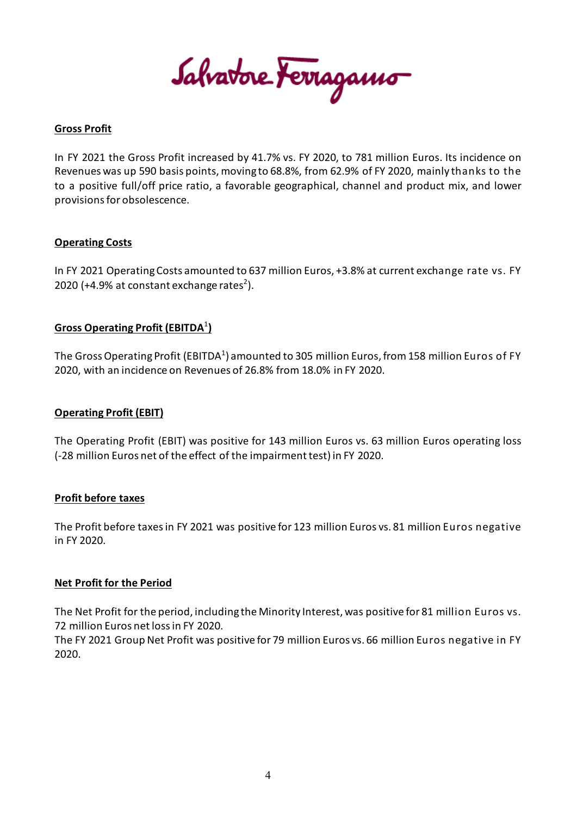Salvatore Ferragamo

# **Gross Profit**

In FY 2021 the Gross Profit increased by 41.7% vs. FY 2020, to 781 million Euros. Its incidence on Revenues was up 590 basis points, moving to 68.8%, from 62.9% of FY 2020, mainly thanks to the to a positive full/off price ratio, a favorable geographical, channel and product mix, and lower provisions for obsolescence.

# **Operating Costs**

In FY 2021 Operating Costs amounted to 637 million Euros, +3.8% at current exchange rate vs. FY 2020 (+4.9% at constant exchange rates<sup>2</sup>).

# **Gross Operating Profit (EBITDA**<sup>1</sup> **)**

The Gross Operating Profit (EBITDA $^1$ ) amounted to 305 million Euros, from 158 million Euros of FY 2020, with an incidence on Revenues of 26.8% from 18.0% in FY 2020.

# **Operating Profit (EBIT)**

The Operating Profit (EBIT) was positive for 143 million Euros vs. 63 million Euros operating loss (-28 million Euros net of the effect of the impairment test)in FY 2020.

## **Profit before taxes**

The Profit before taxesin FY 2021 was positive for 123 million Euros vs. 81 million Euros negative in FY 2020.

## **Net Profit for the Period**

The Net Profit for the period, including the Minority Interest, was positive for 81 million Euros vs. 72 million Euros net lossin FY 2020.

The FY 2021 Group Net Profit was positive for 79 million Euros vs. 66 million Euros negative in FY 2020.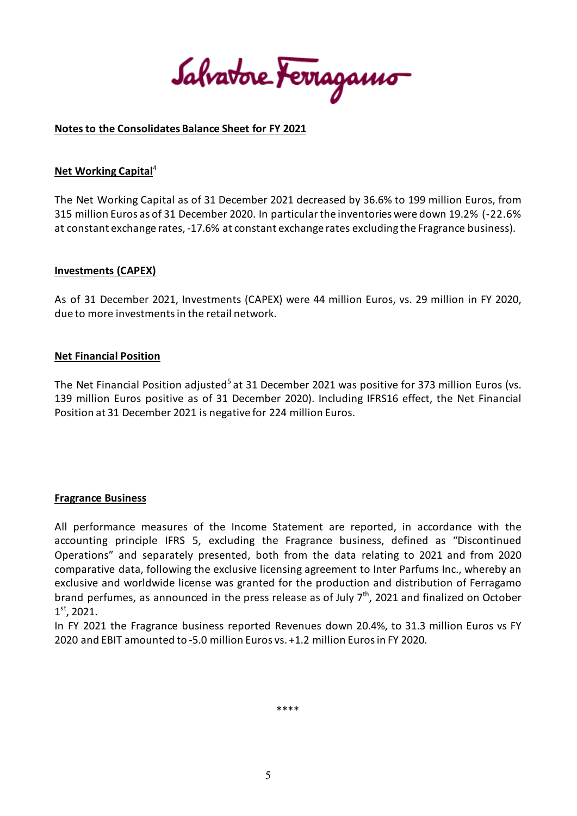Salvatore Ferragamo

## **Notes to the Consolidates Balance Sheet for FY 2021**

#### **Net Working Capital**<sup>4</sup>

The Net Working Capital as of 31 December 2021 decreased by 36.6% to 199 million Euros, from 315 million Euros as of 31 December 2020. In particularthe inventories were down 19.2% (-22.6% at constant exchange rates, -17.6% at constant exchange rates excluding the Fragrance business).

#### **Investments (CAPEX)**

As of 31 December 2021, Investments (CAPEX) were 44 million Euros, vs. 29 million in FY 2020, due to more investments in the retail network.

#### **Net Financial Position**

The Net Financial Position adjusted<sup>5</sup> at 31 December 2021 was positive for 373 million Euros (vs. 139 million Euros positive as of 31 December 2020). Including IFRS16 effect, the Net Financial Position at 31 December 2021 is negative for 224 million Euros.

## **Fragrance Business**

All performance measures of the Income Statement are reported, in accordance with the accounting principle IFRS 5, excluding the Fragrance business, defined as "Discontinued Operations" and separately presented, both from the data relating to 2021 and from 2020 comparative data, following the exclusive licensing agreement to Inter Parfums Inc., whereby an exclusive and worldwide license was granted for the production and distribution of Ferragamo brand perfumes, as announced in the press release as of July  $7<sup>th</sup>$ , 2021 and finalized on October  $1<sup>st</sup>$ , 2021.

In FY 2021 the Fragrance business reported Revenues down 20.4%, to 31.3 million Euros vs FY 2020 and EBIT amounted to -5.0 million Euros vs. +1.2 million Eurosin FY 2020.

\*\*\*\*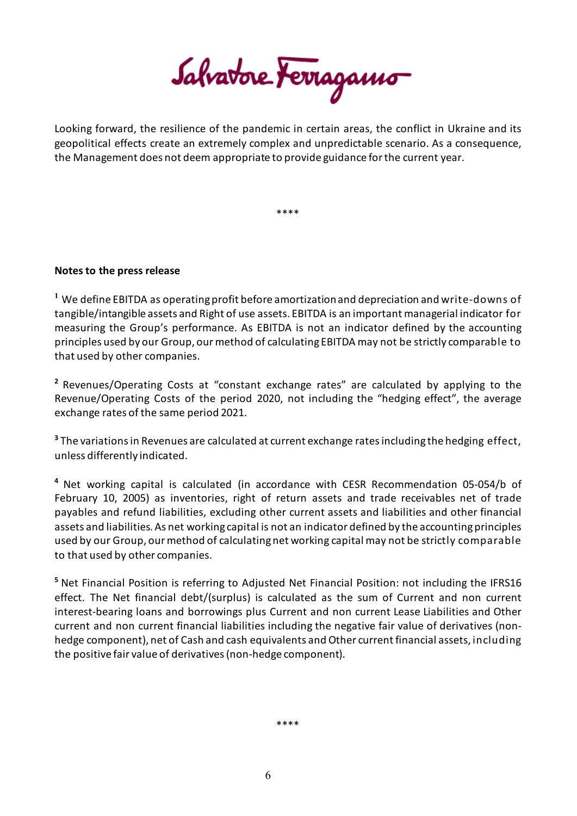Salvatore Ferragamo

Looking forward, the resilience of the pandemic in certain areas, the conflict in Ukraine and its geopolitical effects create an extremely complex and unpredictable scenario. As a consequence, the Management does not deem appropriate to provide guidance for the current year.

\*\*\*\*

# **Notes to the press release**

**<sup>1</sup>** We define EBITDA as operating profit before amortization and depreciation and write-downs of tangible/intangible assets and Right of use assets. EBITDA is an important managerial indicator for measuring the Group's performance. As EBITDA is not an indicator defined by the accounting principles used by our Group, ourmethod of calculating EBITDA may not be strictly comparable to that used by other companies.

**<sup>2</sup>** Revenues/Operating Costs at "constant exchange rates" are calculated by applying to the Revenue/Operating Costs of the period 2020, not including the "hedging effect", the average exchange rates of the same period 2021.

**<sup>3</sup>** The variations in Revenues are calculated at current exchange ratesincluding the hedging effect, unless differently indicated.

**<sup>4</sup>** Net working capital is calculated (in accordance with CESR Recommendation 05-054/b of February 10, 2005) as inventories, right of return assets and trade receivables net of trade payables and refund liabilities, excluding other current assets and liabilities and other financial assets and liabilities. As net working capital is not an indicator defined by the accountingprinciples used by our Group, our method of calculatingnet working capital may not be strictly comparable to that used by other companies.

**<sup>5</sup>** Net Financial Position is referring to Adjusted Net Financial Position: not including the IFRS16 effect. The Net financial debt/(surplus) is calculated as the sum of Current and non current interest-bearing loans and borrowings plus Current and non current Lease Liabilities and Other current and non current financial liabilities including the negative fair value of derivatives (nonhedge component), net of Cash and cash equivalents and Other current financial assets, including the positive fair value of derivatives (non-hedge component).

\*\*\*\*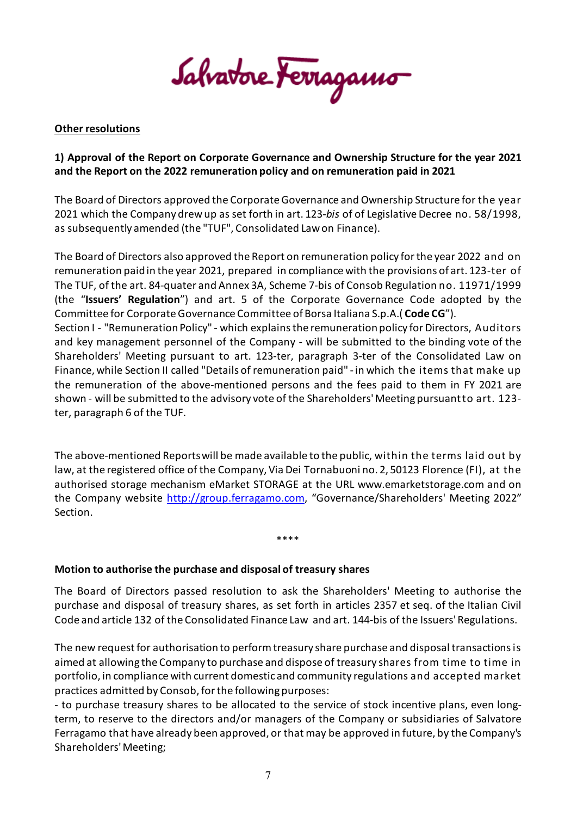Salvatore Ferragamo

# **Other resolutions**

# **1) Approval of the Report on Corporate Governance and Ownership Structure for the year 2021 and the Report on the 2022 remuneration policy and on remuneration paid in 2021**

The Board of Directors approved the Corporate Governance and Ownership Structure for the year 2021 which the Company drew up as set forth in art. 123-*bis* of of Legislative Decree no. 58/1998, as subsequently amended (the "TUF", Consolidated Law on Finance).

The Board of Directors also approved the Report on remuneration policy for the year 2022 and on remuneration paid in the year 2021, prepared in compliance with the provisions of art. 123-ter of The TUF, of the art. 84-quater and Annex 3A, Scheme 7-bis of Consob Regulation no. 11971/1999 (the "**Issuers' Regulation**") and art. 5 of the Corporate Governance Code adopted by the Committee for Corporate Governance Committee of Borsa Italiana S.p.A.( **Code CG**"). Section I - "Remuneration Policy" - which explains the remuneration policy for Directors, Auditors and key management personnel of the Company - will be submitted to the binding vote of the Shareholders' Meeting pursuant to art. 123-ter, paragraph 3-ter of the Consolidated Law on Finance, while Section II called "Details of remuneration paid" - in which the items that make up the remuneration of the above-mentioned persons and the fees paid to them in FY 2021 are shown - will be submitted to the advisory vote of the Shareholders' Meeting pursuant to art. 123 ter, paragraph 6 of the TUF.

The above-mentioned Reports will be made available to the public, within the terms laid out by law, at the registered office of the Company, Via Dei Tornabuoni no. 2, 50123 Florence (FI), at the authorised storage mechanism eMarket STORAGE at the URL [www.emarketstorage.com](http://www.emarketstorage.com/) and on the Company website [http://group.ferragamo.com,](http://group.ferragamo.com/) "Governance/Shareholders' Meeting 2022" Section.

\*\*\*\*

## **Motion to authorise the purchase and disposal of treasury shares**

The Board of Directors passed resolution to ask the Shareholders' Meeting to authorise the purchase and disposal of treasury shares, as set forth in articles 2357 et seq. of the Italian Civil Code and article 132 of the Consolidated Finance Law and art. 144-bis of the Issuers' Regulations.

The new request for authorisation to perform treasury share purchase and disposal transactions is aimed at allowing the Company to purchase and dispose of treasury shares from time to time in portfolio, in compliance with current domestic and community regulations and accepted market practices admitted by Consob, for the following purposes:

- to purchase treasury shares to be allocated to the service of stock incentive plans, even longterm, to reserve to the directors and/or managers of the Company or subsidiaries of Salvatore Ferragamo that have already been approved, or that may be approved in future, by the Company's Shareholders' Meeting;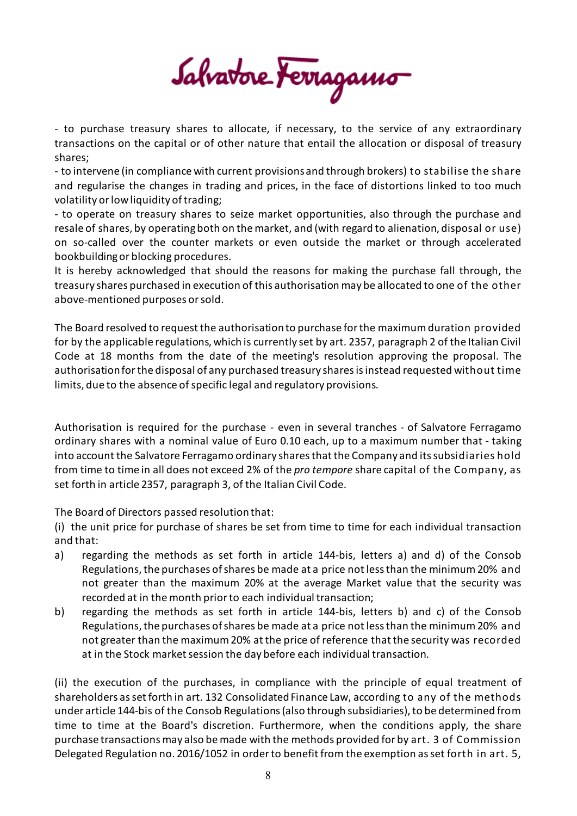Salvatore Ferragamo

- to purchase treasury shares to allocate, if necessary, to the service of any extraordinary transactions on the capital or of other nature that entail the allocation or disposal of treasury shares;

- to intervene (in compliance with current provisions and through brokers) to stabilise the share and regularise the changes in trading and prices, in the face of distortions linked to too much volatility or low liquidity of trading;

- to operate on treasury shares to seize market opportunities, also through the purchase and resale of shares, by operating both on the market, and (with regard to alienation, disposal or use) on so-called over the counter markets or even outside the market or through accelerated bookbuildingor blocking procedures.

It is hereby acknowledged that should the reasons for making the purchase fall through, the treasury shares purchased in execution of this authorisation may be allocated to one of the other above-mentioned purposes or sold.

The Board resolved to request the authorisation to purchase for the maximum duration provided for by the applicable regulations, which is currently set by art. 2357, paragraph 2 of the Italian Civil Code at 18 months from the date of the meeting's resolution approving the proposal. The authorisation for the disposal of any purchased treasury sharesis instead requested without time limits, due to the absence of specific legal and regulatory provisions.

Authorisation is required for the purchase - even in several tranches - of Salvatore Ferragamo ordinary shares with a nominal value of Euro 0.10 each, up to a maximum number that - taking into account the Salvatore Ferragamo ordinary shares that the Company and its subsidiaries hold from time to time in all does not exceed 2% of the *pro tempore* share capital of the Company, as set forth in article 2357, paragraph 3, of the Italian Civil Code.

The Board of Directors passed resolution that:

(i) the unit price for purchase of shares be set from time to time for each individual transaction and that:

- a) regarding the methods as set forth in article 144-bis, letters a) and d) of the Consob Regulations, the purchases of shares be made at a price not less than the minimum 20% and not greater than the maximum 20% at the average Market value that the security was recorded at in the month prior to each individual transaction;
- b) regarding the methods as set forth in article 144-bis, letters b) and c) of the Consob Regulations, the purchases of shares be made at a price not less than the minimum 20% and not greater than the maximum 20% at the price of reference that the security was recorded at in the Stock market session the day before each individual transaction.

(ii) the execution of the purchases, in compliance with the principle of equal treatment of shareholders as set forth in art. 132 Consolidated Finance Law, according to any of the methods under article 144-bis of the Consob Regulations (also through subsidiaries), to be determined from time to time at the Board's discretion. Furthermore, when the conditions apply, the share purchase transactions may also be made with the methods provided for by art. 3 of Commission Delegated Regulation no. 2016/1052 in order to benefit from the exemption as set forth in art. 5,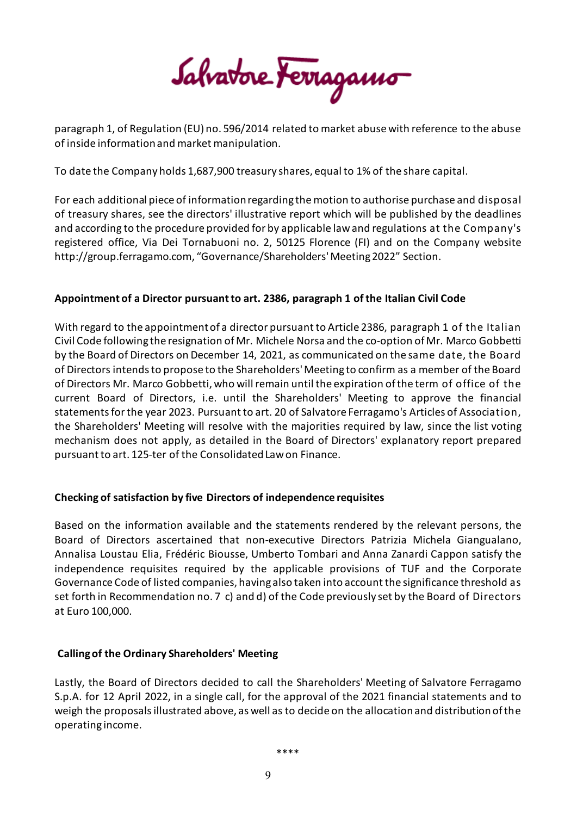Salvatore Ferragamo

paragraph 1, of Regulation (EU) no. 596/2014 related to market abuse with reference to the abuse of inside information and market manipulation.

To date the Company holds 1,687,900 treasury shares, equal to 1% of the share capital.

For each additional piece of information regarding the motion to authorise purchase and disposal of treasury shares, see the directors' illustrative report which will be published by the deadlines and according to the procedure provided for by applicable law and regulations at the Company's registered office, Via Dei Tornabuoni no. 2, 50125 Florence (FI) and on the Company website http://group.ferragamo.com, "Governance/Shareholders' Meeting 2022" Section.

# **Appointment of a Director pursuant to art. 2386, paragraph 1 of the Italian Civil Code**

With regard to the appointment of a director pursuant to Article 2386, paragraph 1 of the Italian Civil Code following the resignation of Mr. Michele Norsa and the co-option of Mr. Marco Gobbetti by the Board of Directors on December 14, 2021, as communicated on the same date, the Board of Directors intends to propose to the Shareholders' Meeting to confirm as a member of the Board of Directors Mr. Marco Gobbetti, who will remain until the expiration of the term of office of the current Board of Directors, i.e. until the Shareholders' Meeting to approve the financial statements for the year 2023. Pursuant to art. 20 of Salvatore Ferragamo's Articles of Association, the Shareholders' Meeting will resolve with the majorities required by law, since the list voting mechanism does not apply, as detailed in the Board of Directors' explanatory report prepared pursuant to art. 125-ter of the Consolidated Law on Finance.

# **Checking of satisfaction by five Directors of independence requisites**

Based on the information available and the statements rendered by the relevant persons, the Board of Directors ascertained that non-executive Directors Patrizia Michela Giangualano, Annalisa Loustau Elia, Frédéric Biousse, Umberto Tombari and Anna Zanardi Cappon satisfy the independence requisites required by the applicable provisions of TUF and the Corporate Governance Code of listed companies, having also taken into account the significance threshold as set forth in Recommendation no. 7 c) and d) of the Code previously set by the Board of Directors at Euro 100,000.

## **Calling of the Ordinary Shareholders' Meeting**

Lastly, the Board of Directors decided to call the Shareholders' Meeting of Salvatore Ferragamo S.p.A. for 12 April 2022, in a single call, for the approval of the 2021 financial statements and to weigh the proposals illustrated above, as well as to decide on the allocation and distribution of the operating income.

\*\*\*\*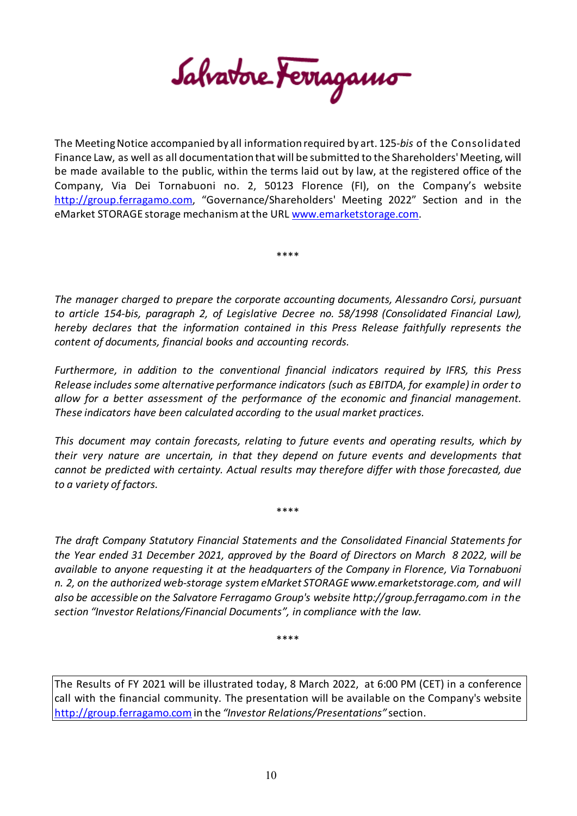Salvatore Ferragamo

The Meeting Notice accompanied by all information required by art. 125-*bis* of the Consolidated Finance Law, as well as all documentation that will be submitted to the Shareholders' Meeting, will be made available to the public, within the terms laid out by law, at the registered office of the Company, Via Dei Tornabuoni no. 2, 50123 Florence (FI), on the Company's website [http://group.ferragamo.com,](http://group.ferragamo.com/) "Governance/Shareholders' Meeting 2022" Section and in the eMarket STORAGE storage mechanism at the URL [www.emarketstorage.com.](http://www.emarketstorage.com/)

\*\*\*\*

*The manager charged to prepare the corporate accounting documents, Alessandro Corsi, pursuant to article 154-bis, paragraph 2, of Legislative Decree no. 58/1998 (Consolidated Financial Law), hereby declares that the information contained in this Press Release faithfully represents the content of documents, financial books and accounting records.*

*Furthermore, in addition to the conventional financial indicators required by IFRS, this Press Release includes some alternative performance indicators (such as EBITDA, for example) in order to allow for a better assessment of the performance of the economic and financial management. These indicators have been calculated according to the usual market practices.*

*This document may contain forecasts, relating to future events and operating results, which by their very nature are uncertain, in that they depend on future events and developments that cannot be predicted with certainty. Actual results may therefore differ with those forecasted, due to a variety of factors.*

\*\*\*\*

*The draft Company Statutory Financial Statements and the Consolidated Financial Statements for the Year ended 31 December 2021, approved by the Board of Directors on March 8 2022, will be available to anyone requesting it at the headquarters of the Company in Florence, Via Tornabuoni n. 2, on the authorized web-storage system eMarket STORAGE www.emarketstorage.com, and will also be accessible on the Salvatore Ferragamo Group's website http://group.ferragamo.com in the section "Investor Relations/Financial Documents", in compliance with the law.*

\*\*\*\*

The Results of FY 2021 will be illustrated today, 8 March 2022, at 6:00 PM (CET) in a conference call with the financial community. The presentation will be available on the Company's website [http://group.ferragamo.com](http://group.ferragamo.com/)in the *"Investor Relations/Presentations"* section.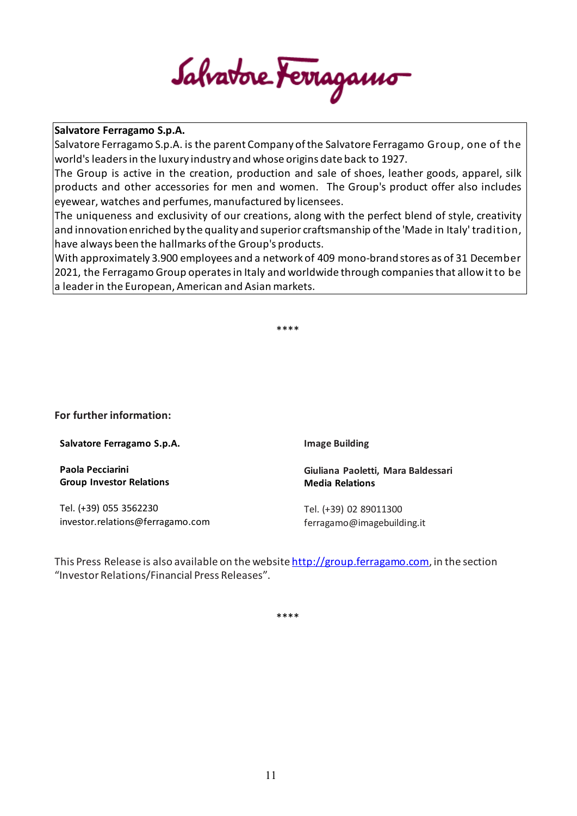Salvatore Ferragamo

Salvatore Ferragamo S.p.A. is the parent Company of the Salvatore Ferragamo Group, one of the world's leaders in the luxury industry and whose origins date back to 1927.

The Group is active in the creation, production and sale of shoes, leather goods, apparel, silk products and other accessories for men and women. The Group's product offer also includes eyewear, watches and perfumes, manufactured by licensees.

The uniqueness and exclusivity of our creations, along with the perfect blend of style, creativity and innovation enriched by the quality and superior craftsmanship of the 'Made in Italy' tradition, have always been the hallmarks of the Group's products.

With approximately 3.900 employees and a network of 409 mono-brandstores as of 31 December 2021, the Ferragamo Group operates in Italy and worldwide through companies that allow itto be a leader in the European, American and Asian markets.

\*\*\*\*

**For further information:**

**Salvatore Ferragamo S.p.A.**

**Paola Pecciarini Group Investor Relations**

Tel. (+39) 055 3562230 investor.relations@ferragamo.com **Image Building**

**Giuliana Paoletti, Mara Baldessari Media Relations**

Tel. (+39) 02 89011300 ferragamo@imagebuilding.it

This Press Release is also available on the website [http://group.ferragamo.com,](http://group.ferragamo.com/) in the section "Investor Relations/Financial Press Releases".

\*\*\*\*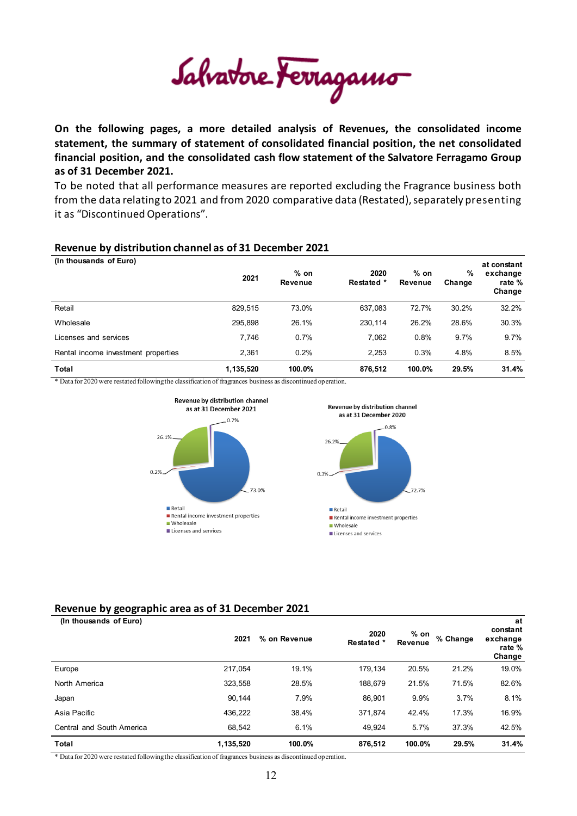Salvatore Ferragamo

**On the following pages, a more detailed analysis of Revenues, the consolidated income statement, the summary of statement of consolidated financial position, the net consolidated financial position, and the consolidated cash flow statement of the Salvatore Ferragamo Group as of 31 December 2021.**

To be noted that all performance measures are reported excluding the Fragrance business both from the data relating to 2021 and from 2020 comparative data (Restated), separately presenting it as "Discontinued Operations".

#### **Revenue by distribution channel as of 31 December 2021**

| (In thousands of Euro)              | 2021      | $%$ on<br>Revenue | 2020<br>Restated * | $%$ on<br>Revenue | %<br>Change | at constant<br>exchange<br>rate %<br>Change |
|-------------------------------------|-----------|-------------------|--------------------|-------------------|-------------|---------------------------------------------|
| Retail                              | 829,515   | 73.0%             | 637,083            | 72.7%             | 30.2%       | 32.2%                                       |
| Wholesale                           | 295.898   | 26.1%             | 230.114            | 26.2%             | 28.6%       | 30.3%                                       |
| Licenses and services               | 7.746     | 0.7%              | 7,062              | 0.8%              | 9.7%        | 9.7%                                        |
| Rental income investment properties | 2.361     | 0.2%              | 2.253              | 0.3%              | 4.8%        | 8.5%                                        |
| Total                               | 1,135,520 | 100.0%            | 876.512            | 100.0%            | 29.5%       | 31.4%                                       |

\* Data for 2020 were restated following the classification of fragrances business as discontinued operation.



## **Revenue by geographic area as of 31 December 2021**

**(In thousands of Euro)**

| (In thousands of Euro)    | 2021      | % on Revenue | 2020<br>Restated * | $%$ on<br>Revenue | % Change | at<br>constant<br>exchange<br>rate %<br>Change |
|---------------------------|-----------|--------------|--------------------|-------------------|----------|------------------------------------------------|
| Europe                    | 217,054   | 19.1%        | 179,134            | 20.5%             | 21.2%    | 19.0%                                          |
| North America             | 323,558   | 28.5%        | 188,679            | 21.5%             | 71.5%    | 82.6%                                          |
| Japan                     | 90,144    | 7.9%         | 86,901             | 9.9%              | 3.7%     | 8.1%                                           |
| Asia Pacific              | 436,222   | 38.4%        | 371,874            | 42.4%             | 17.3%    | 16.9%                                          |
| Central and South America | 68,542    | 6.1%         | 49,924             | 5.7%              | 37.3%    | 42.5%                                          |
| Total                     | 1,135,520 | 100.0%       | 876,512            | 100.0%            | 29.5%    | 31.4%                                          |

\* Data for 2020 were restated following the classification of fragrances business as discontinued operation.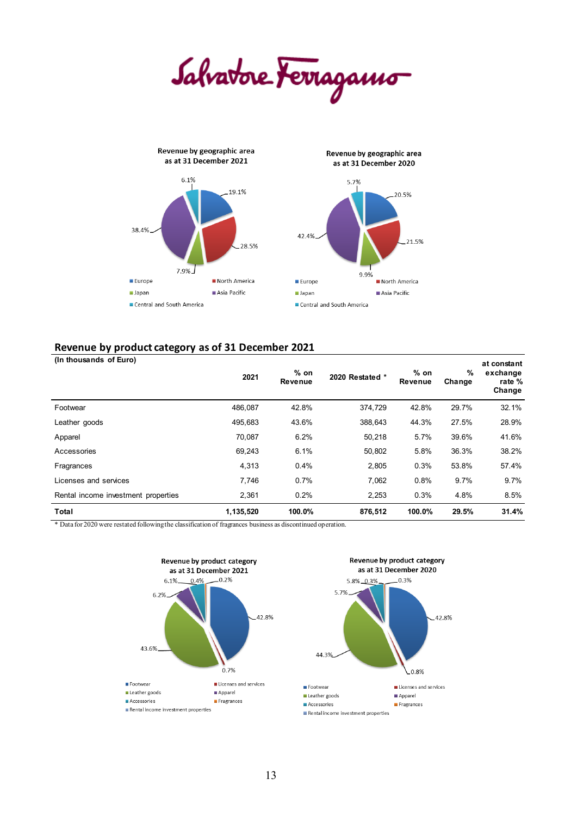Salvatore Ferragamo



#### **Revenue by product category as of 31 December 2021**

| (In thousands of Euro)              |           |                   |                 |                   |             | at constant                  |
|-------------------------------------|-----------|-------------------|-----------------|-------------------|-------------|------------------------------|
|                                     | 2021      | $%$ on<br>Revenue | 2020 Restated * | $%$ on<br>Revenue | %<br>Change | exchange<br>rate %<br>Change |
| Footwear                            | 486,087   | 42.8%             | 374,729         | 42.8%             | 29.7%       | 32.1%                        |
| Leather goods                       | 495,683   | 43.6%             | 388,643         | 44.3%             | 27.5%       | 28.9%                        |
| Apparel                             | 70,087    | 6.2%              | 50,218          | 5.7%              | 39.6%       | 41.6%                        |
| Accessories                         | 69,243    | 6.1%              | 50,802          | 5.8%              | 36.3%       | 38.2%                        |
| Fragrances                          | 4,313     | 0.4%              | 2,805           | 0.3%              | 53.8%       | 57.4%                        |
| Licenses and services               | 7,746     | 0.7%              | 7,062           | 0.8%              | 9.7%        | $9.7\%$                      |
| Rental income investment properties | 2,361     | 0.2%              | 2,253           | 0.3%              | 4.8%        | 8.5%                         |
| Total                               | 1,135,520 | 100.0%            | 876,512         | 100.0%            | 29.5%       | 31.4%                        |

\* Data for 2020 were restated following the classification of fragrances business as discontinued operation.

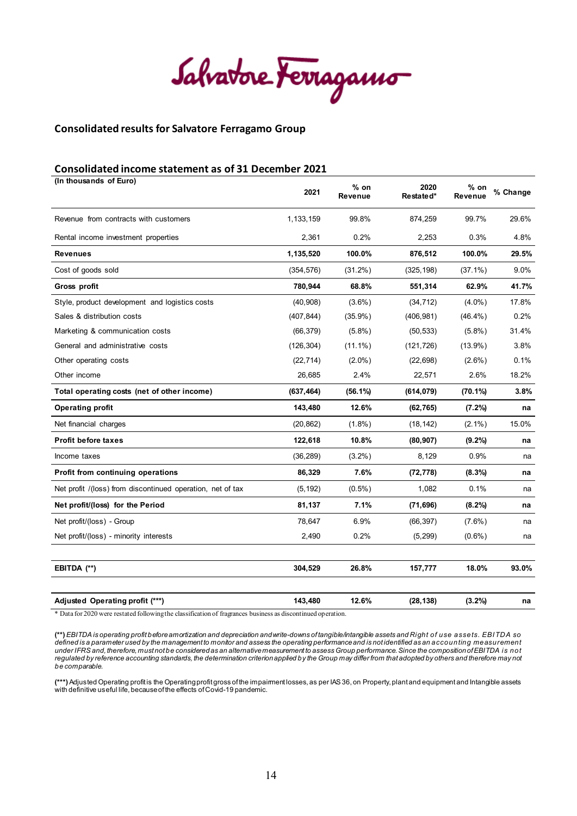Salvatore Ferragamo

#### **Consolidated results for Salvatore Ferragamo Group**

#### **Consolidated income statement as of 31 December 2021**

| (In thousands of Euro)                                     | 2021       | $%$ on<br>Revenue | 2020<br>Restated* | % on<br><b>Revenue</b> | % Change |
|------------------------------------------------------------|------------|-------------------|-------------------|------------------------|----------|
| Revenue from contracts with customers                      | 1,133,159  | 99.8%             | 874,259           | 99.7%                  | 29.6%    |
| Rental income investment properties                        | 2,361      | 0.2%              | 2,253             | 0.3%                   | 4.8%     |
| <b>Revenues</b>                                            | 1,135,520  | 100.0%            | 876,512           | 100.0%                 | 29.5%    |
| Cost of goods sold                                         | (354, 576) | $(31.2\%)$        | (325, 198)        | $(37.1\%)$             | $9.0\%$  |
| Gross profit                                               | 780,944    | 68.8%             | 551,314           | 62.9%                  | 41.7%    |
| Style, product development and logistics costs             | (40, 908)  | $(3.6\%)$         | (34, 712)         | $(4.0\%)$              | 17.8%    |
| Sales & distribution costs                                 | (407, 844) | $(35.9\%)$        | (406, 981)        | $(46.4\%)$             | 0.2%     |
| Marketing & communication costs                            | (66, 379)  | $(5.8\%)$         | (50, 533)         | $(5.8\%)$              | 31.4%    |
| General and administrative costs                           | (126, 304) | $(11.1\%)$        | (121, 726)        | $(13.9\%)$             | 3.8%     |
| Other operating costs                                      | (22, 714)  | $(2.0\%)$         | (22, 698)         | $(2.6\%)$              | 0.1%     |
| Other income                                               | 26,685     | 2.4%              | 22,571            | 2.6%                   | 18.2%    |
| Total operating costs (net of other income)                | (637, 464) | $(56.1\%)$        | (614, 079)        | $(70.1\%)$             | 3.8%     |
| Operating profit                                           | 143,480    | 12.6%             | (62, 765)         | $(7.2\%)$              | na       |
| Net financial charges                                      | (20, 862)  | $(1.8\%)$         | (18, 142)         | $(2.1\%)$              | 15.0%    |
| <b>Profit before taxes</b>                                 | 122,618    | 10.8%             | (80, 907)         | $(9.2\%)$              | na       |
| Income taxes                                               | (36, 289)  | $(3.2\%)$         | 8,129             | 0.9%                   | na       |
| Profit from continuing operations                          | 86,329     | 7.6%              | (72, 778)         | $(8.3\%)$              | na       |
| Net profit /(loss) from discontinued operation, net of tax | (5, 192)   | $(0.5\%)$         | 1,082             | 0.1%                   | na       |
| Net profit/(loss) for the Period                           | 81,137     | 7.1%              | (71, 696)         | $(8.2\%)$              | na       |
| Net profit/(loss) - Group                                  | 78,647     | 6.9%              | (66, 397)         | $(7.6\%)$              | na       |
| Net profit/(loss) - minority interests                     | 2,490      | 0.2%              | (5, 299)          | $(0.6\%)$              | na       |
| EBITDA (**)                                                | 304,529    | 26.8%             | 157,777           | 18.0%                  | 93.0%    |
| Adjusted Operating profit (***)                            | 143,480    | 12.6%             | (28, 138)         | $(3.2\%)$              | na       |

\* Data for 2020 were restated following the classification of fragrances business as discontinued operation.

(\*\*) EBITDA is operating profit before amortization and depreciation and write-downs of tangible/intangible assets and Right of use assets. EBITDA so<br>defined is a parameter used by the management to monitor and assess the under IFRS and, therefore, must not be considered as an alternative measurement to assess Group performance. Since the composition of EBITDA is not<br>regulated by reference accounting standards, the determination criterion a *be comparable.*

**(\*\*\*)**Adjusted Operating profit is the Operating profit gross of the impairment losses, as per IAS36, on Property, plant and equipment and Intangible assets with definitive useful life, because ofthe effects of Covid-19 pandemic.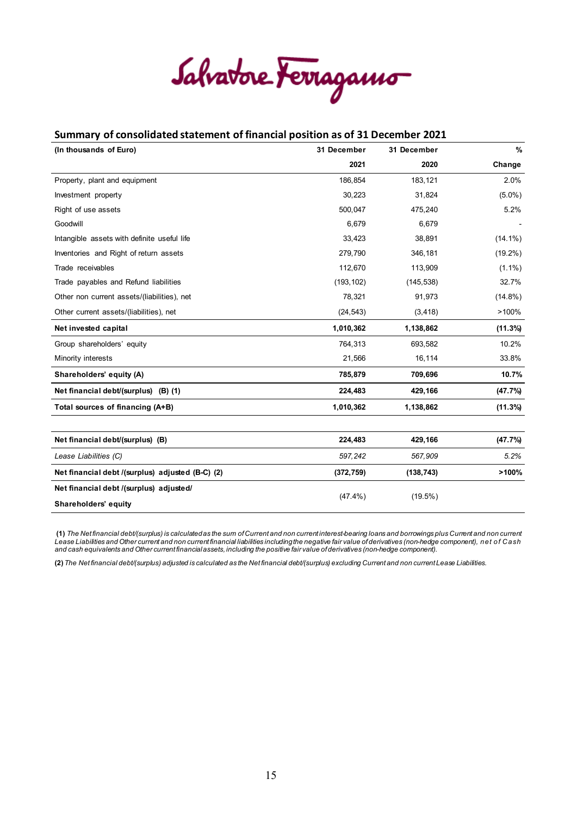Salvatore Ferragamo

#### **Summary of consolidated statement of financial position as of 31 December 2021**

| (In thousands of Euro)                           | 31 December | 31 December | $\%$       |
|--------------------------------------------------|-------------|-------------|------------|
|                                                  | 2021        | 2020        | Change     |
| Property, plant and equipment                    | 186,854     | 183,121     | 2.0%       |
| Investment property                              | 30,223      | 31,824      | $(5.0\%)$  |
| Right of use assets                              | 500,047     | 475,240     | 5.2%       |
| Goodwill                                         | 6,679       | 6,679       |            |
| Intangible assets with definite useful life      | 33,423      | 38,891      | $(14.1\%)$ |
| Inventories and Right of return assets           | 279,790     | 346,181     | $(19.2\%)$ |
| Trade receivables                                | 112,670     | 113,909     | $(1.1\%)$  |
| Trade payables and Refund liabilities            | (193, 102)  | (145, 538)  | 32.7%      |
| Other non current assets/(liabilities), net      | 78,321      | 91,973      | $(14.8\%)$ |
| Other current assets/(liabilities), net          | (24, 543)   | (3, 418)    | >100%      |
| Net invested capital                             | 1,010,362   | 1,138,862   | (11.3%)    |
| Group shareholders' equity                       | 764,313     | 693,582     | 10.2%      |
| Minority interests                               | 21,566      | 16,114      | 33.8%      |
| Shareholders' equity (A)                         | 785,879     | 709,696     | 10.7%      |
| Net financial debt/(surplus) (B) (1)             | 224,483     | 429,166     | (47.7%)    |
| Total sources of financing (A+B)                 | 1,010,362   | 1,138,862   | $(11.3\%)$ |
|                                                  |             |             |            |
| Net financial debt/(surplus) (B)                 | 224,483     | 429,166     | (47.7%)    |
| Lease Liabilities (C)                            | 597,242     | 567,909     | 5.2%       |
| Net financial debt /(surplus) adjusted (B-C) (2) | (372, 759)  | (138, 743)  | >100%      |
| Net financial debt /(surplus) adjusted/          | $(47.4\%)$  |             |            |
| Shareholders' equity                             |             | $(19.5\%)$  |            |

**(1)** *The Net financial debt/(surplus) is calculated as the sum of Current and non current interest-bearing loans and borrowings plus Current and non current*  Lease Liabilities and Other current and non current financial liabilities including the negative fair value of derivatives (non-hedge component), net of Cash<br>and cash equivalents and Other current financial assets, includi

**(2)** *The Net financial debt/(surplus) adjusted is calculated as the Net financial debt/(surplus) excluding Current and non current Lease Liabilities.*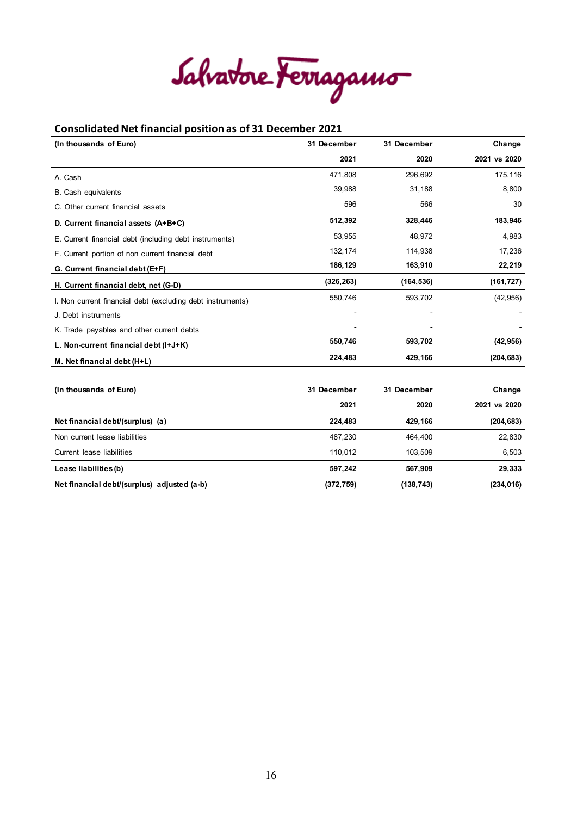Salvatore Ferragamo

#### **Consolidated Net financial position as of 31 December 2021**

| (In thousands of Euro)                                     | 31 December | 31 December | Change       |
|------------------------------------------------------------|-------------|-------------|--------------|
|                                                            | 2021        | 2020        | 2021 vs 2020 |
| A. Cash                                                    | 471,808     | 296,692     | 175,116      |
| <b>B.</b> Cash equivalents                                 | 39,988      | 31,188      | 8,800        |
| C. Other current financial assets                          | 596         | 566         | 30           |
| D. Current financial assets (A+B+C)                        | 512,392     | 328,446     | 183,946      |
| E. Current financial debt (including debt instruments)     | 53.955      | 48.972      | 4,983        |
| F. Current portion of non current financial debt           | 132,174     | 114,938     | 17,236       |
| G. Current financial debt (E+F)                            | 186,129     | 163,910     | 22,219       |
| H. Current financial debt, net (G-D)                       | (326, 263)  | (164, 536)  | (161, 727)   |
| I. Non current financial debt (excluding debt instruments) | 550,746     | 593,702     | (42, 956)    |
| J. Debt instruments                                        |             |             |              |
| K. Trade payables and other current debts                  |             |             |              |
| L. Non-current financial debt (I+J+K)                      | 550,746     | 593,702     | (42, 956)    |
| M. Net financial debt (H+L)                                | 224,483     | 429,166     | (204, 683)   |
| (In thousands of Euro)                                     | 31 December | 31 December | Change       |
|                                                            | 2021        | 2020        | 2021 vs 2020 |
| Net financial debt/(surplus) (a)                           | 224,483     | 429,166     | (204, 683)   |
| Non current lease liabilities                              | 487,230     | 464,400     | 22,830       |
| Current lease liabilities                                  | 110,012     | 103,509     | 6,503        |
| Lease liabilities (b)                                      | 597,242     | 567,909     | 29,333       |
| Net financial debt/(surplus) adjusted (a-b)                | (372, 759)  | (138, 743)  | (234, 016)   |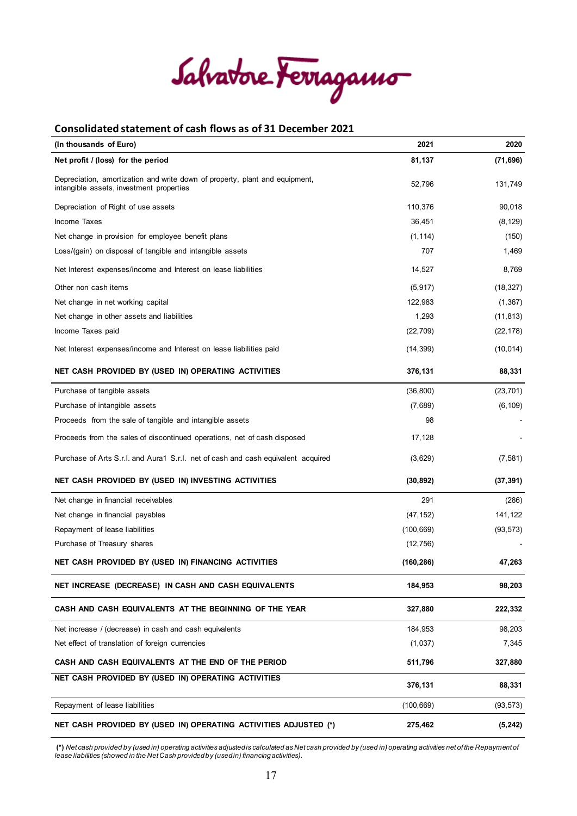Salvatore Ferragamo

#### **Consolidated statement of cash flows as of 31 December 2021**

| (In thousands of Euro)                                                                                                  | 2021       | 2020      |
|-------------------------------------------------------------------------------------------------------------------------|------------|-----------|
| Net profit / (loss) for the period                                                                                      | 81,137     | (71, 696) |
| Depreciation, amortization and write down of property, plant and equipment,<br>intangible assets, investment properties | 52,796     | 131,749   |
| Depreciation of Right of use assets                                                                                     | 110,376    | 90,018    |
| Income Taxes                                                                                                            | 36,451     | (8, 129)  |
| Net change in provision for employee benefit plans                                                                      | (1, 114)   | (150)     |
| Loss/(gain) on disposal of tangible and intangible assets                                                               | 707        | 1,469     |
| Net Interest expenses/income and Interest on lease liabilities                                                          | 14,527     | 8,769     |
| Other non cash items                                                                                                    | (5, 917)   | (18, 327) |
| Net change in net working capital                                                                                       | 122,983    | (1, 367)  |
| Net change in other assets and liabilities                                                                              | 1,293      | (11, 813) |
| Income Taxes paid                                                                                                       | (22, 709)  | (22, 178) |
| Net Interest expenses/income and Interest on lease liabilities paid                                                     | (14, 399)  | (10, 014) |
| NET CASH PROVIDED BY (USED IN) OPERATING ACTIVITIES                                                                     | 376,131    | 88,331    |
| Purchase of tangible assets                                                                                             | (36, 800)  | (23, 701) |
| Purchase of intangible assets                                                                                           | (7,689)    | (6, 109)  |
| Proceeds from the sale of tangible and intangible assets                                                                | 98         |           |
| Proceeds from the sales of discontinued operations, net of cash disposed                                                | 17,128     |           |
| Purchase of Arts S.r.I. and Aura1 S.r.I. net of cash and cash equivalent acquired                                       | (3,629)    | (7, 581)  |
| NET CASH PROVIDED BY (USED IN) INVESTING ACTIVITIES                                                                     | (30, 892)  | (37, 391) |
| Net change in financial receivables                                                                                     | 291        | (286)     |
| Net change in financial payables                                                                                        | (47, 152)  | 141,122   |
| Repayment of lease liabilities                                                                                          | (100, 669) | (93, 573) |
| Purchase of Treasury shares                                                                                             | (12, 756)  |           |
| NET CASH PROVIDED BY (USED IN) FINANCING ACTIVITIES                                                                     | (160, 286) | 47,263    |
| NET INCREASE (DECREASE) IN CASH AND CASH EQUIVALENTS                                                                    | 184,953    | 98,203    |
| CASH AND CASH EQUIVALENTS AT THE BEGINNING OF THE YEAR                                                                  | 327,880    | 222,332   |
| Net increase / (decrease) in cash and cash equivalents                                                                  | 184,953    | 98,203    |
| Net effect of translation of foreign currencies                                                                         | (1,037)    | 7,345     |
| CASH AND CASH EQUIVALENTS AT THE END OF THE PERIOD                                                                      | 511,796    | 327,880   |
| NET CASH PROVIDED BY (USED IN) OPERATING ACTIVITIES                                                                     | 376,131    | 88,331    |
| Repayment of lease liabilities                                                                                          | (100, 669) | (93, 573) |
| NET CASH PROVIDED BY (USED IN) OPERATING ACTIVITIES ADJUSTED (*)                                                        | 275,462    | (5, 242)  |

**(\*)** *Net cash provided by (used in) operating activities adjusted is calculated as Net cash provided by (used in) operating activities net of the Repayment of lease liabilities (showed in the Net Cash providedby (used in) financing activities).*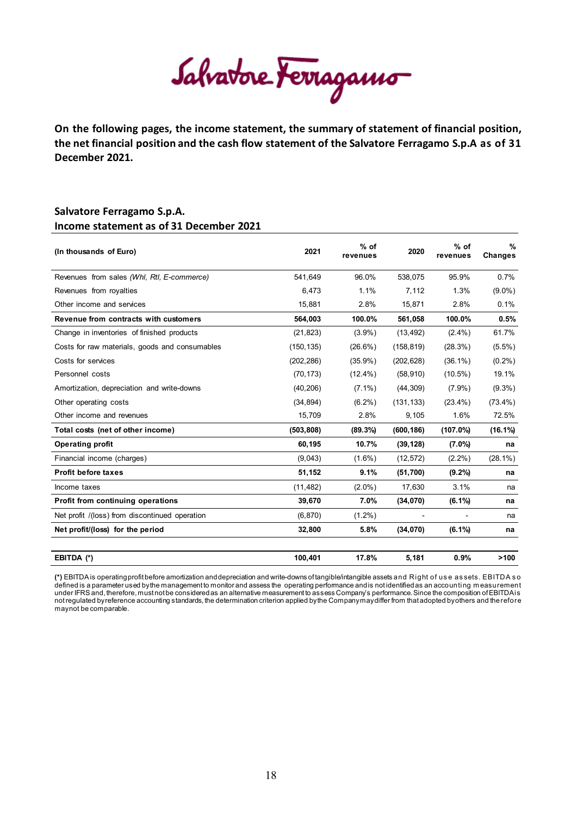Salvatore Ferragamo

**On the following pages, the income statement, the summary of statement of financial position, the net financial position and the cash flow statement of the Salvatore Ferragamo S.p.A as of 31 December 2021.**

#### **Salvatore Ferragamo S.p.A. Income statement as of 31 December 2021**

| (In thousands of Euro)                         | 2021       | $%$ of<br>revenues | 2020       | $%$ of<br>revenues | $\frac{9}{6}$<br>Changes |
|------------------------------------------------|------------|--------------------|------------|--------------------|--------------------------|
| Revenues from sales (Whl, Rtl, E-commerce)     | 541.649    | 96.0%              | 538.075    | 95.9%              | 0.7%                     |
| Revenues from royalties                        | 6,473      | 1.1%               | 7,112      | 1.3%               | $(9.0\%)$                |
| Other income and services                      | 15,881     | 2.8%               | 15,871     | 2.8%               | 0.1%                     |
| Revenue from contracts with customers          | 564,003    | 100.0%             | 561,058    | 100.0%             | 0.5%                     |
| Change in inventories of finished products     | (21, 823)  | $(3.9\%)$          | (13, 492)  | $(2.4\%)$          | 61.7%                    |
| Costs for raw materials, goods and consumables | (150, 135) | $(26.6\%)$         | (158, 819) | (28.3%)            | $(5.5\%)$                |
| Costs for services                             | (202, 286) | $(35.9\%)$         | (202, 628) | $(36.1\%)$         | $(0.2\%)$                |
| Personnel costs                                | (70, 173)  | $(12.4\%)$         | (58, 910)  | $(10.5\%)$         | 19.1%                    |
| Amortization, depreciation and write-downs     | (40, 206)  | $(7.1\%)$          | (44, 309)  | $(7.9\%)$          | $(9.3\%)$                |
| Other operating costs                          | (34, 894)  | $(6.2\%)$          | (131, 133) | $(23.4\%)$         | $(73.4\%)$               |
| Other income and revenues                      | 15,709     | 2.8%               | 9,105      | 1.6%               | 72.5%                    |
| Total costs (net of other income)              | (503, 808) | (89.3%)            | (600, 186) | $(107.0\%)$        | $(16.1\%)$               |
| <b>Operating profit</b>                        | 60,195     | 10.7%              | (39, 128)  | $(7.0\%)$          | na                       |
| Financial income (charges)                     | (9,043)    | $(1.6\%)$          | (12, 572)  | $(2.2\%)$          | $(28.1\%)$               |
| <b>Profit before taxes</b>                     | 51,152     | 9.1%               | (51, 700)  | $(9.2\%)$          | na                       |
| Income taxes                                   | (11, 482)  | $(2.0\%)$          | 17,630     | 3.1%               | na                       |
| Profit from continuing operations              | 39,670     | 7.0%               | (34,070)   | $(6.1\%)$          | na                       |
| Net profit /(loss) from discontinued operation | (6, 870)   | $(1.2\%)$          |            |                    | na                       |
| Net profit/(loss) for the period               | 32,800     | 5.8%               | (34,070)   | $(6.1\%)$          | na                       |
| EBITDA (*)                                     | 100,401    | 17.8%              | 5,181      | 0.9%               | >100                     |

**(\*)** EBITDA is operating profit before amortization and depreciation and write-downs of tangible/intangible assets and Right of us e as sets. EBITDA s o defined is a parameter used by the management to monitor and assess the operating performance and is not identified as an accounting m easurement under IFRS and, therefore, must not be considered as an alternative measurement to assess Company's performance. Since the composition of EBITDA is not regulated by reference accounting standards, the determination criterion applied by the Company may differ from that adopted by others and therefore may not be comparable.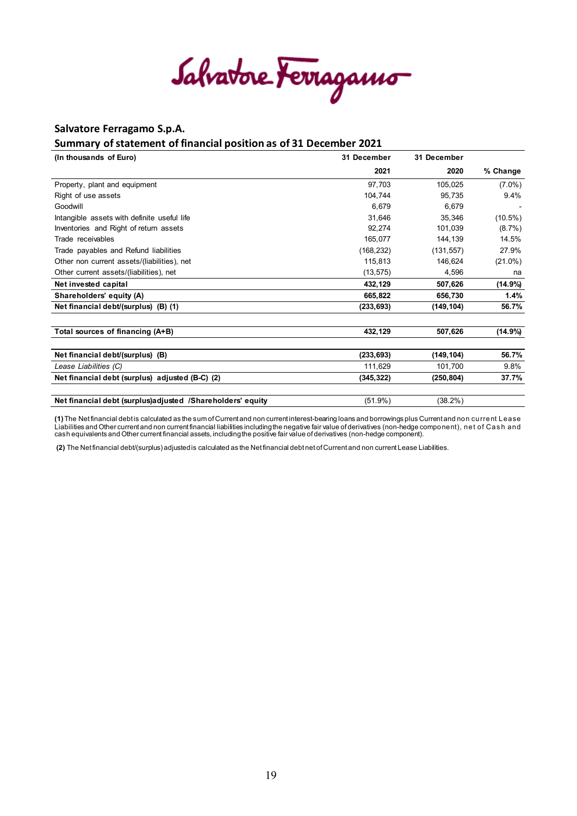Salvatore Ferragamo

#### **Summary of statement of financial position as of 31 December 2021**

| (In thousands of Euro)                                       | 31 December | 31 December |            |
|--------------------------------------------------------------|-------------|-------------|------------|
|                                                              | 2021        | 2020        | % Change   |
| Property, plant and equipment                                | 97,703      | 105,025     | $(7.0\%)$  |
| Right of use assets                                          | 104,744     | 95,735      | 9.4%       |
| Goodwill                                                     | 6,679       | 6,679       |            |
| Intangible assets with definite useful life                  | 31,646      | 35,346      | $(10.5\%)$ |
| Inventories and Right of return assets                       | 92.274      | 101,039     | $(8.7\%)$  |
| Trade receivables                                            | 165,077     | 144,139     | 14.5%      |
| Trade payables and Refund liabilities                        | (168, 232)  | (131, 557)  | 27.9%      |
| Other non current assets/(liabilities), net                  | 115,813     | 146.624     | $(21.0\%)$ |
| Other current assets/(liabilities), net                      | (13, 575)   | 4,596       | na         |
| Net invested capital                                         | 432,129     | 507,626     | (14.9%)    |
| Shareholders' equity (A)                                     | 665,822     | 656.730     | 1.4%       |
| Net financial debt/(surplus) (B) (1)                         | (233, 693)  | (149, 104)  | 56.7%      |
| Total sources of financing (A+B)                             | 432,129     | 507,626     | (14.9%)    |
| Net financial debt/(surplus) (B)                             | (233, 693)  | (149, 104)  | 56.7%      |
| Lease Liabilities (C)                                        | 111,629     | 101,700     | 9.8%       |
| Net financial debt (surplus) adjusted (B-C) (2)              | (345,322)   | (250, 804)  | 37.7%      |
| Net financial debt (surplus) adjusted / Shareholders' equity | $(51.9\%)$  | $(38.2\%)$  |            |

**(1)** The Net financial debt is calculated as the sum of Current and non current interest-bearing loans and borrowings plus Current and non current Lease Liabilities and Other current and non current financial liabilities including the negative fair value of derivatives (non-hedge component), net of Cas h and cash equivalents and Other current financial assets, including the positive fair value of derivatives (non-hedge component).

**(2)** The Net financial debt/(surplus) adjusted is calculated as the Net financial debt net of Current and non current Lease Liabilities.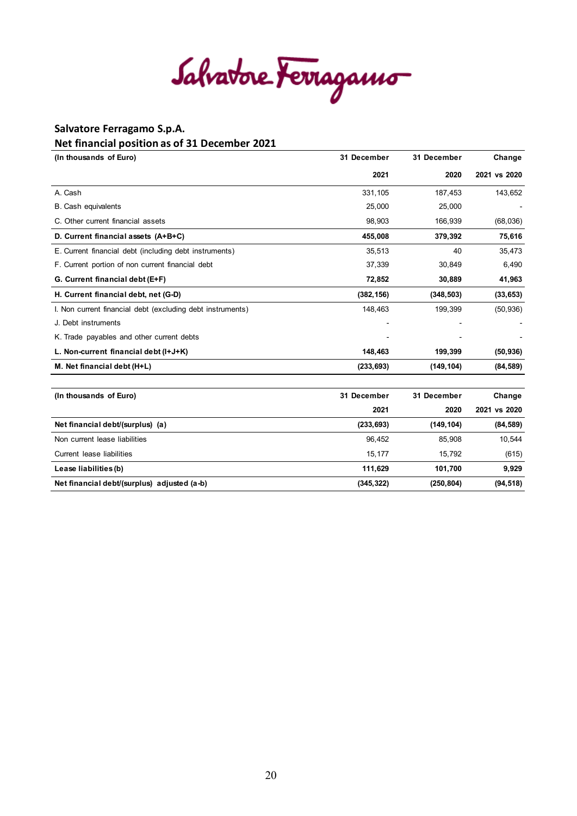Salvatore Ferragamo

#### **Net financial position as of 31 December 2021**

| (In thousands of Euro)                                     | 31 December | 31 December | Change       |
|------------------------------------------------------------|-------------|-------------|--------------|
|                                                            | 2021        | 2020        | 2021 vs 2020 |
| A. Cash                                                    | 331,105     | 187,453     | 143,652      |
| <b>B.</b> Cash equivalents                                 | 25,000      | 25,000      |              |
| C. Other current financial assets                          | 98,903      | 166,939     | (68,036)     |
| D. Current financial assets (A+B+C)                        | 455,008     | 379,392     | 75,616       |
| E. Current financial debt (including debt instruments)     | 35,513      | 40          | 35,473       |
| F. Current portion of non current financial debt           | 37,339      | 30,849      | 6,490        |
| G. Current financial debt (E+F)                            | 72,852      | 30,889      | 41,963       |
| H. Current financial debt, net (G-D)                       | (382, 156)  | (348, 503)  | (33, 653)    |
| I. Non current financial debt (excluding debt instruments) | 148,463     | 199,399     | (50, 936)    |
| J. Debt instruments                                        |             |             |              |
| K. Trade payables and other current debts                  |             |             |              |
| L. Non-current financial debt (I+J+K)                      | 148,463     | 199,399     | (50, 936)    |
| M. Net financial debt (H+L)                                | (233, 693)  | (149, 104)  | (84, 589)    |
| (In thousands of Euro)                                     | 31 December | 31 December | Change       |
|                                                            | 2021        | 2020        | 2021 vs 2020 |
| Net financial debt/(surplus) (a)                           | (233, 693)  | (149, 104)  | (84, 589)    |
| Non current lease liabilities                              | 96,452      | 85,908      | 10,544       |
| Current lease liabilities                                  | 15,177      | 15,792      | (615)        |
| Lease liabilities (b)                                      | 111,629     | 101,700     | 9,929        |
| Net financial debt/(surplus) adjusted (a-b)                | (345, 322)  | (250, 804)  | (94, 518)    |